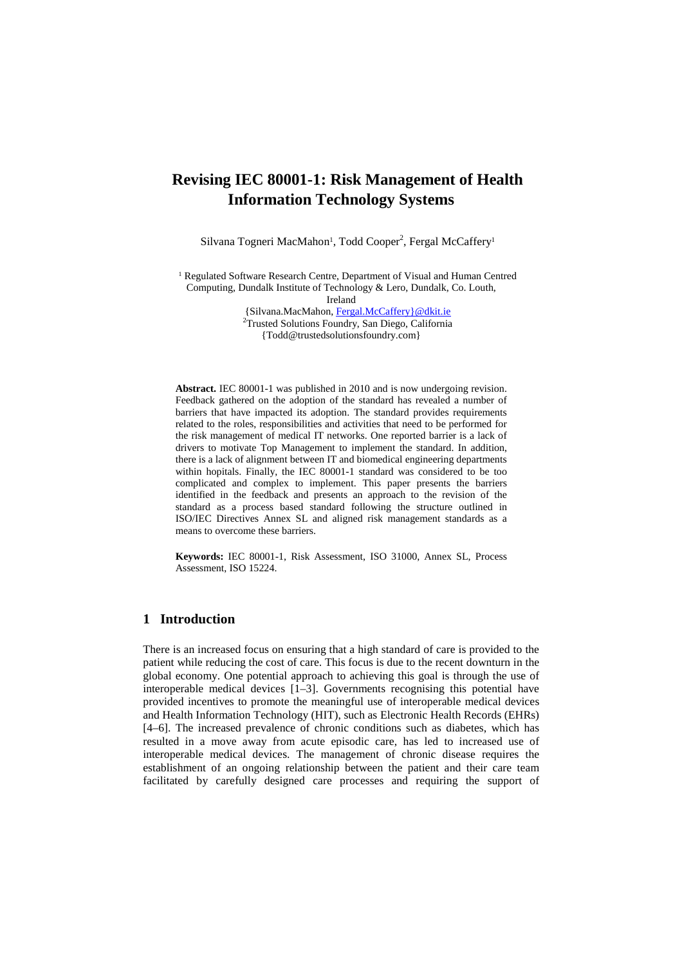# **Revising IEC 80001-1: Risk Management of Health Information Technology Systems**

Silvana Togneri MacMahon<sup>1</sup>, Todd Cooper<sup>2</sup>, Fergal McCaffery<sup>1</sup>

<sup>1</sup> Regulated Software Research Centre, Department of Visual and Human Centred Computing, Dundalk Institute of Technology & Lero, Dundalk, Co. Louth,

Ireland

{Silvana.MacMahon, [Fergal.McCaffery}@dkit.ie](mailto:Fergal.McCaffery%7D@dkit.ie) <sup>2</sup>Trusted Solutions Foundry, San Diego, California {Todd@trustedsolutionsfoundry.com}

**Abstract.** IEC 80001-1 was published in 2010 and is now undergoing revision. Feedback gathered on the adoption of the standard has revealed a number of barriers that have impacted its adoption. The standard provides requirements related to the roles, responsibilities and activities that need to be performed for the risk management of medical IT networks. One reported barrier is a lack of drivers to motivate Top Management to implement the standard. In addition, there is a lack of alignment between IT and biomedical engineering departments within hopitals. Finally, the IEC 80001-1 standard was considered to be too complicated and complex to implement. This paper presents the barriers identified in the feedback and presents an approach to the revision of the standard as a process based standard following the structure outlined in ISO/IEC Directives Annex SL and aligned risk management standards as a means to overcome these barriers.

**Keywords:** IEC 80001-1, Risk Assessment, ISO 31000, Annex SL, Process Assessment, ISO 15224.

# **1 Introduction**

There is an increased focus on ensuring that a high standard of care is provided to the patient while reducing the cost of care. This focus is due to the recent downturn in the global economy. One potential approach to achieving this goal is through the use of interoperable medical devices [1–3]. Governments recognising this potential have provided incentives to promote the meaningful use of interoperable medical devices and Health Information Technology (HIT), such as Electronic Health Records (EHRs) [4–6]. The increased prevalence of chronic conditions such as diabetes, which has resulted in a move away from acute episodic care, has led to increased use of interoperable medical devices. The management of chronic disease requires the establishment of an ongoing relationship between the patient and their care team facilitated by carefully designed care processes and requiring the support of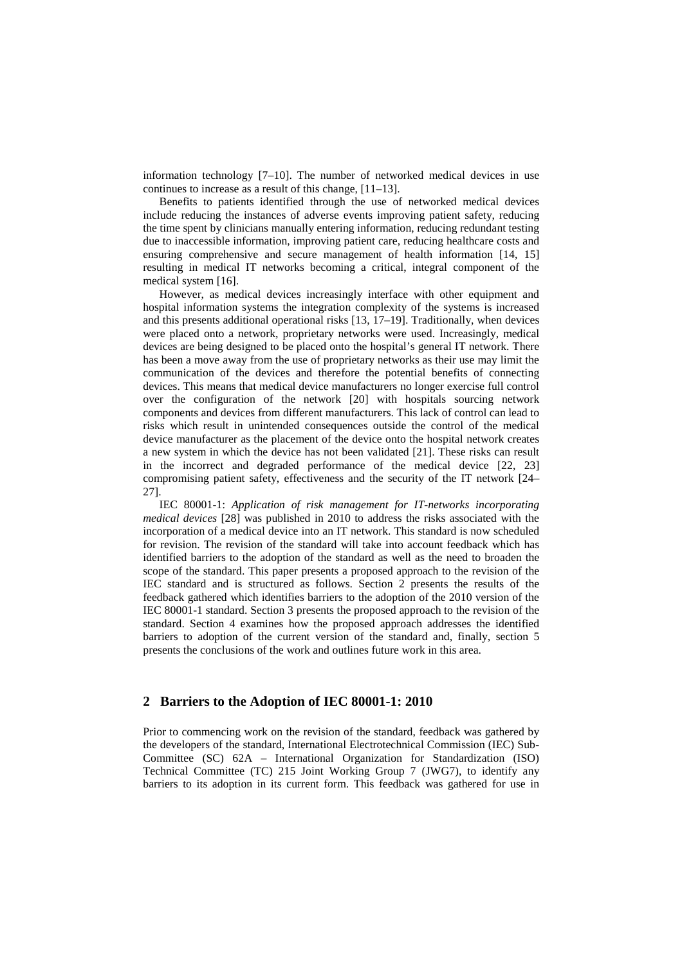information technology [7–10]. The number of networked medical devices in use continues to increase as a result of this change, [11–13].

Benefits to patients identified through the use of networked medical devices include reducing the instances of adverse events improving patient safety, reducing the time spent by clinicians manually entering information, reducing redundant testing due to inaccessible information, improving patient care, reducing healthcare costs and ensuring comprehensive and secure management of health information [14, 15] resulting in medical IT networks becoming a critical, integral component of the medical system [16].

However, as medical devices increasingly interface with other equipment and hospital information systems the integration complexity of the systems is increased and this presents additional operational risks [13, 17–19]. Traditionally, when devices were placed onto a network, proprietary networks were used. Increasingly, medical devices are being designed to be placed onto the hospital's general IT network. There has been a move away from the use of proprietary networks as their use may limit the communication of the devices and therefore the potential benefits of connecting devices. This means that medical device manufacturers no longer exercise full control over the configuration of the network [20] with hospitals sourcing network components and devices from different manufacturers. This lack of control can lead to risks which result in unintended consequences outside the control of the medical device manufacturer as the placement of the device onto the hospital network creates a new system in which the device has not been validated [21]. These risks can result in the incorrect and degraded performance of the medical device [22, 23] compromising patient safety, effectiveness and the security of the IT network [24– 27].

IEC 80001-1: *Application of risk management for IT-networks incorporating medical devices* [28] was published in 2010 to address the risks associated with the incorporation of a medical device into an IT network. This standard is now scheduled for revision. The revision of the standard will take into account feedback which has identified barriers to the adoption of the standard as well as the need to broaden the scope of the standard. This paper presents a proposed approach to the revision of the IEC standard and is structured as follows. Section 2 presents the results of the feedback gathered which identifies barriers to the adoption of the 2010 version of the IEC 80001-1 standard. Section 3 presents the proposed approach to the revision of the standard. Section 4 examines how the proposed approach addresses the identified barriers to adoption of the current version of the standard and, finally, section 5 presents the conclusions of the work and outlines future work in this area.

# **2 Barriers to the Adoption of IEC 80001-1: 2010**

Prior to commencing work on the revision of the standard, feedback was gathered by the developers of the standard, International Electrotechnical Commission (IEC) Sub-Committee (SC) 62A – International Organization for Standardization (ISO) Technical Committee (TC) 215 Joint Working Group 7 (JWG7), to identify any barriers to its adoption in its current form. This feedback was gathered for use in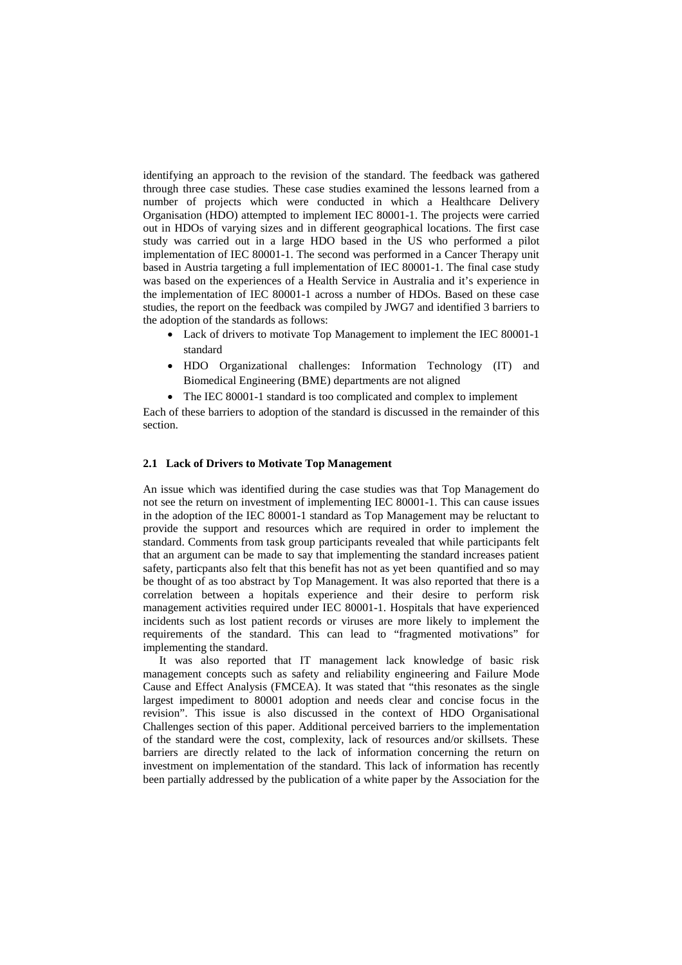identifying an approach to the revision of the standard. The feedback was gathered through three case studies. These case studies examined the lessons learned from a number of projects which were conducted in which a Healthcare Delivery Organisation (HDO) attempted to implement IEC 80001-1. The projects were carried out in HDOs of varying sizes and in different geographical locations. The first case study was carried out in a large HDO based in the US who performed a pilot implementation of IEC 80001-1. The second was performed in a Cancer Therapy unit based in Austria targeting a full implementation of IEC 80001-1. The final case study was based on the experiences of a Health Service in Australia and it's experience in the implementation of IEC 80001-1 across a number of HDOs. Based on these case studies, the report on the feedback was compiled by JWG7 and identified 3 barriers to the adoption of the standards as follows:

- Lack of drivers to motivate Top Management to implement the IEC 80001-1 standard
- HDO Organizational challenges: Information Technology (IT) and Biomedical Engineering (BME) departments are not aligned
- The IEC 80001-1 standard is too complicated and complex to implement

Each of these barriers to adoption of the standard is discussed in the remainder of this section.

### **2.1 Lack of Drivers to Motivate Top Management**

An issue which was identified during the case studies was that Top Management do not see the return on investment of implementing IEC 80001-1. This can cause issues in the adoption of the IEC 80001-1 standard as Top Management may be reluctant to provide the support and resources which are required in order to implement the standard. Comments from task group participants revealed that while participants felt that an argument can be made to say that implementing the standard increases patient safety, particpants also felt that this benefit has not as yet been quantified and so may be thought of as too abstract by Top Management. It was also reported that there is a correlation between a hopitals experience and their desire to perform risk management activities required under IEC 80001-1. Hospitals that have experienced incidents such as lost patient records or viruses are more likely to implement the requirements of the standard. This can lead to "fragmented motivations" for implementing the standard.

It was also reported that IT management lack knowledge of basic risk management concepts such as safety and reliability engineering and Failure Mode Cause and Effect Analysis (FMCEA). It was stated that "this resonates as the single largest impediment to 80001 adoption and needs clear and concise focus in the revision". This issue is also discussed in the context of HDO Organisational Challenges section of this paper. Additional perceived barriers to the implementation of the standard were the cost, complexity, lack of resources and/or skillsets. These barriers are directly related to the lack of information concerning the return on investment on implementation of the standard. This lack of information has recently been partially addressed by the publication of a white paper by the Association for the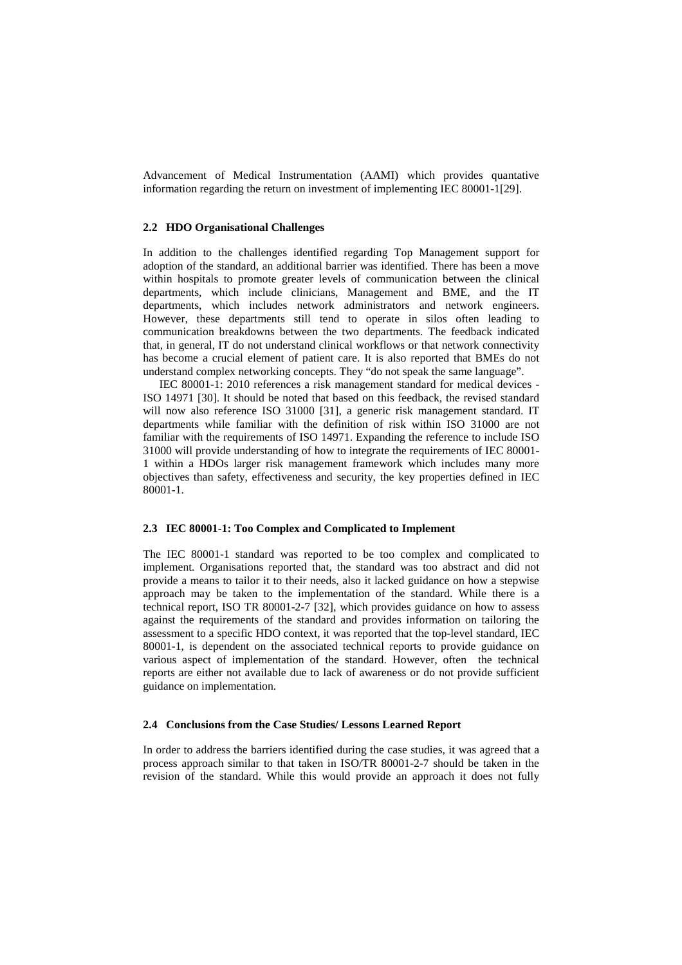Advancement of Medical Instrumentation (AAMI) which provides quantative information regarding the return on investment of implementing IEC 80001-1[29].

### **2.2 HDO Organisational Challenges**

In addition to the challenges identified regarding Top Management support for adoption of the standard, an additional barrier was identified. There has been a move within hospitals to promote greater levels of communication between the clinical departments, which include clinicians, Management and BME, and the IT departments, which includes network administrators and network engineers. However, these departments still tend to operate in silos often leading to communication breakdowns between the two departments. The feedback indicated that, in general, IT do not understand clinical workflows or that network connectivity has become a crucial element of patient care. It is also reported that BMEs do not understand complex networking concepts. They "do not speak the same language".

IEC 80001-1: 2010 references a risk management standard for medical devices - ISO 14971 [30]. It should be noted that based on this feedback, the revised standard will now also reference ISO 31000 [31], a generic risk management standard. IT departments while familiar with the definition of risk within ISO 31000 are not familiar with the requirements of ISO 14971. Expanding the reference to include ISO 31000 will provide understanding of how to integrate the requirements of IEC 80001- 1 within a HDOs larger risk management framework which includes many more objectives than safety, effectiveness and security, the key properties defined in IEC 80001-1.

#### **2.3 IEC 80001-1: Too Complex and Complicated to Implement**

The IEC 80001-1 standard was reported to be too complex and complicated to implement. Organisations reported that, the standard was too abstract and did not provide a means to tailor it to their needs, also it lacked guidance on how a stepwise approach may be taken to the implementation of the standard. While there is a technical report, ISO TR 80001-2-7 [32], which provides guidance on how to assess against the requirements of the standard and provides information on tailoring the assessment to a specific HDO context, it was reported that the top-level standard, IEC 80001-1, is dependent on the associated technical reports to provide guidance on various aspect of implementation of the standard. However, often the technical reports are either not available due to lack of awareness or do not provide sufficient guidance on implementation.

# **2.4 Conclusions from the Case Studies/ Lessons Learned Report**

In order to address the barriers identified during the case studies, it was agreed that a process approach similar to that taken in ISO/TR 80001-2-7 should be taken in the revision of the standard. While this would provide an approach it does not fully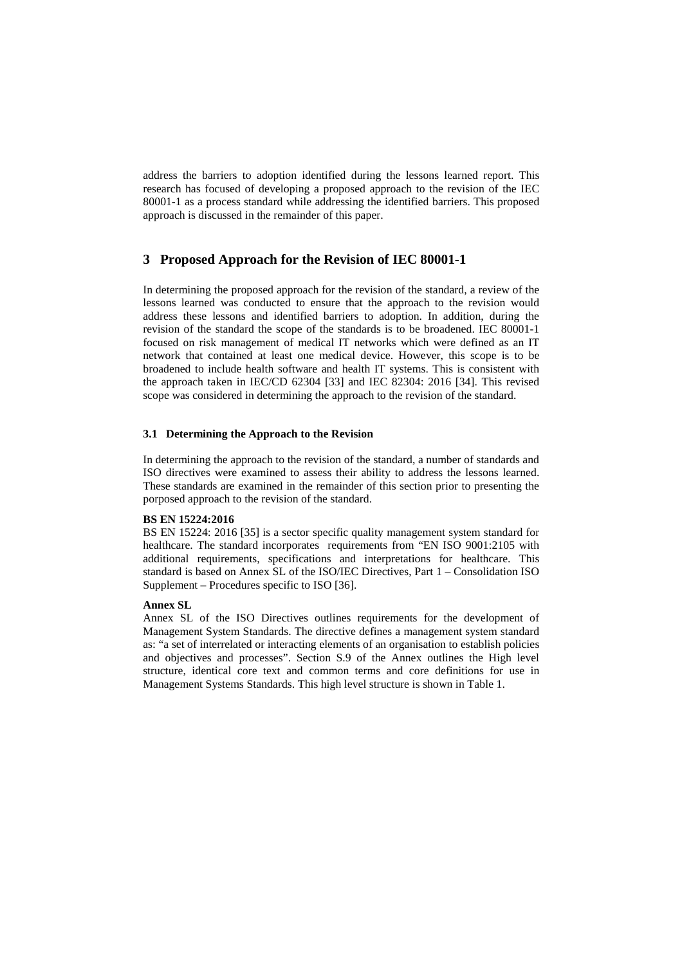address the barriers to adoption identified during the lessons learned report. This research has focused of developing a proposed approach to the revision of the IEC 80001-1 as a process standard while addressing the identified barriers. This proposed approach is discussed in the remainder of this paper.

# **3 Proposed Approach for the Revision of IEC 80001-1**

In determining the proposed approach for the revision of the standard, a review of the lessons learned was conducted to ensure that the approach to the revision would address these lessons and identified barriers to adoption. In addition, during the revision of the standard the scope of the standards is to be broadened. IEC 80001-1 focused on risk management of medical IT networks which were defined as an IT network that contained at least one medical device. However, this scope is to be broadened to include health software and health IT systems. This is consistent with the approach taken in IEC/CD 62304 [33] and IEC 82304: 2016 [34]. This revised scope was considered in determining the approach to the revision of the standard.

# **3.1 Determining the Approach to the Revision**

In determining the approach to the revision of the standard, a number of standards and ISO directives were examined to assess their ability to address the lessons learned. These standards are examined in the remainder of this section prior to presenting the porposed approach to the revision of the standard.

### **BS EN 15224:2016**

BS EN 15224: 2016 [35] is a sector specific quality management system standard for healthcare. The standard incorporates requirements from "EN ISO 9001:2105 with additional requirements, specifications and interpretations for healthcare. This standard is based on Annex SL of the ISO/IEC Directives, Part 1 – Consolidation ISO Supplement – Procedures specific to ISO [36].

#### **Annex SL**

Annex SL of the ISO Directives outlines requirements for the development of Management System Standards. The directive defines a management system standard as: "a set of interrelated or interacting elements of an organisation to establish policies and objectives and processes". Section S.9 of the Annex outlines the High level structure, identical core text and common terms and core definitions for use in Management Systems Standards. This high level structure is shown in Table 1.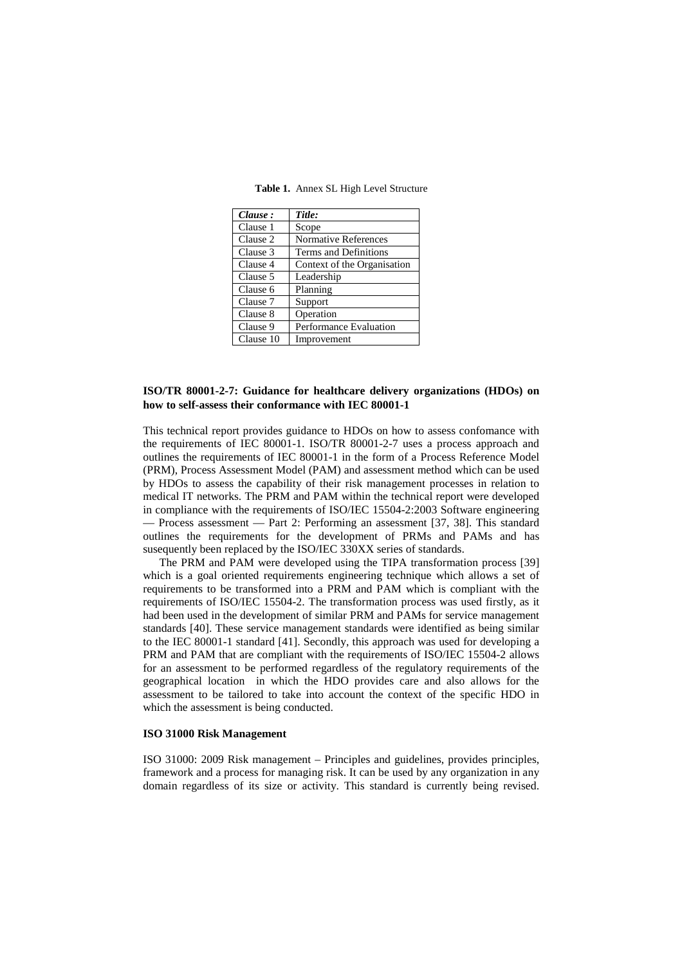| Clause:   | Title:                      |
|-----------|-----------------------------|
| Clause 1  | Scope                       |
| Clause 2  | <b>Normative References</b> |
| Clause 3  | Terms and Definitions       |
| Clause 4  | Context of the Organisation |
| Clause 5  | Leadership                  |
| Clause 6  | Planning                    |
| Clause 7  | Support                     |
| Clause 8  | Operation                   |
| Clause 9  | Performance Evaluation      |
| Clause 10 | Improvement                 |

**Table 1.** Annex SL High Level Structure

### **ISO/TR 80001-2-7: Guidance for healthcare delivery organizations (HDOs) on how to self-assess their conformance with IEC 80001-1**

This technical report provides guidance to HDOs on how to assess confomance with the requirements of IEC 80001-1. ISO/TR 80001-2-7 uses a process approach and outlines the requirements of IEC 80001-1 in the form of a Process Reference Model (PRM), Process Assessment Model (PAM) and assessment method which can be used by HDOs to assess the capability of their risk management processes in relation to medical IT networks. The PRM and PAM within the technical report were developed in compliance with the requirements of ISO/IEC 15504-2:2003 Software engineering — Process assessment — Part 2: Performing an assessment [37, 38]. This standard outlines the requirements for the development of PRMs and PAMs and has susequently been replaced by the ISO/IEC 330XX series of standards.

The PRM and PAM were developed using the TIPA transformation process [39] which is a goal oriented requirements engineering technique which allows a set of requirements to be transformed into a PRM and PAM which is compliant with the requirements of ISO/IEC 15504-2. The transformation process was used firstly, as it had been used in the development of similar PRM and PAMs for service management standards [40]. These service management standards were identified as being similar to the IEC 80001-1 standard [41]. Secondly, this approach was used for developing a PRM and PAM that are compliant with the requirements of ISO/IEC 15504-2 allows for an assessment to be performed regardless of the regulatory requirements of the geographical location in which the HDO provides care and also allows for the assessment to be tailored to take into account the context of the specific HDO in which the assessment is being conducted.

## **ISO 31000 Risk Management**

ISO 31000: 2009 Risk management – Principles and guidelines, provides principles, framework and a process for managing risk. It can be used by any organization in any domain regardless of its size or activity. This standard is currently being revised.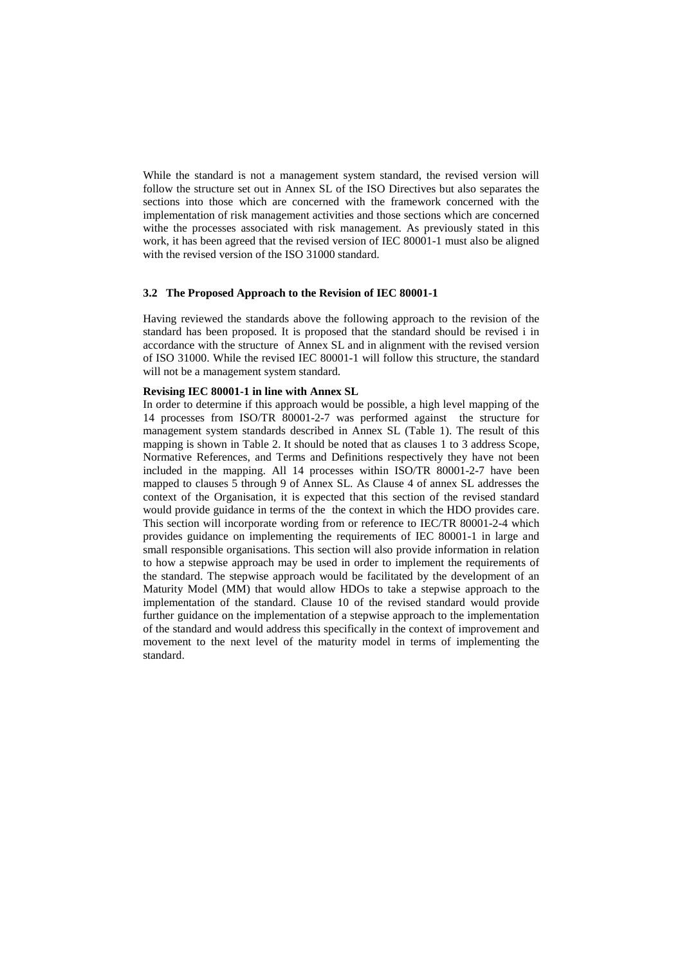While the standard is not a management system standard, the revised version will follow the structure set out in Annex SL of the ISO Directives but also separates the sections into those which are concerned with the framework concerned with the implementation of risk management activities and those sections which are concerned withe the processes associated with risk management. As previously stated in this work, it has been agreed that the revised version of IEC 80001-1 must also be aligned with the revised version of the ISO 31000 standard.

### **3.2 The Proposed Approach to the Revision of IEC 80001-1**

Having reviewed the standards above the following approach to the revision of the standard has been proposed. It is proposed that the standard should be revised i in accordance with the structure of Annex SL and in alignment with the revised version of ISO 31000. While the revised IEC 80001-1 will follow this structure, the standard will not be a management system standard.

### **Revising IEC 80001-1 in line with Annex SL**

In order to determine if this approach would be possible, a high level mapping of the 14 processes from ISO/TR 80001-2-7 was performed against the structure for management system standards described in Annex SL (Table 1). The result of this mapping is shown in Table 2. It should be noted that as clauses 1 to 3 address Scope, Normative References, and Terms and Definitions respectively they have not been included in the mapping. All 14 processes within ISO/TR 80001-2-7 have been mapped to clauses 5 through 9 of Annex SL. As Clause 4 of annex SL addresses the context of the Organisation, it is expected that this section of the revised standard would provide guidance in terms of the the context in which the HDO provides care. This section will incorporate wording from or reference to IEC/TR 80001-2-4 which provides guidance on implementing the requirements of IEC 80001-1 in large and small responsible organisations. This section will also provide information in relation to how a stepwise approach may be used in order to implement the requirements of the standard. The stepwise approach would be facilitated by the development of an Maturity Model (MM) that would allow HDOs to take a stepwise approach to the implementation of the standard. Clause 10 of the revised standard would provide further guidance on the implementation of a stepwise approach to the implementation of the standard and would address this specifically in the context of improvement and movement to the next level of the maturity model in terms of implementing the standard.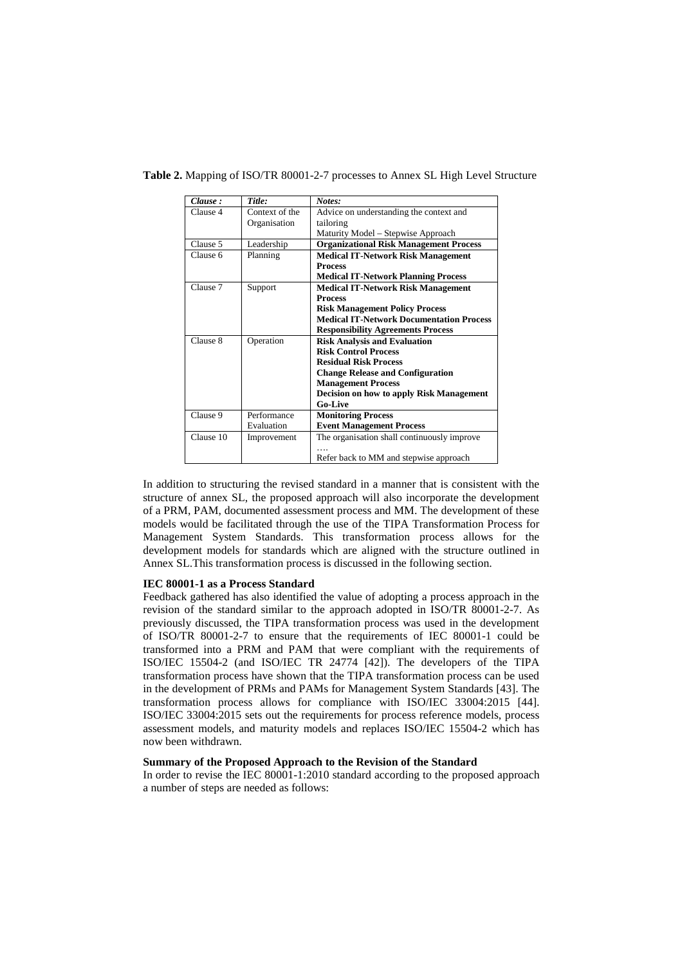| Clause:   | Title:         | Notes:                                          |  |
|-----------|----------------|-------------------------------------------------|--|
| Clause 4  | Context of the | Advice on understanding the context and         |  |
|           | Organisation   | tailoring                                       |  |
|           |                | Maturity Model - Stepwise Approach              |  |
| Clause 5  | Leadership     | <b>Organizational Risk Management Process</b>   |  |
| Clause 6  | Planning       | <b>Medical IT-Network Risk Management</b>       |  |
|           |                | <b>Process</b>                                  |  |
|           |                | <b>Medical IT-Network Planning Process</b>      |  |
| Clause 7  | Support        | <b>Medical IT-Network Risk Management</b>       |  |
|           |                | <b>Process</b>                                  |  |
|           |                | <b>Risk Management Policy Process</b>           |  |
|           |                | <b>Medical IT-Network Documentation Process</b> |  |
|           |                | <b>Responsibility Agreements Process</b>        |  |
| Clause 8  | Operation      | <b>Risk Analysis and Evaluation</b>             |  |
|           |                | <b>Risk Control Process</b>                     |  |
|           |                | <b>Residual Risk Process</b>                    |  |
|           |                | <b>Change Release and Configuration</b>         |  |
|           |                | <b>Management Process</b>                       |  |
|           |                | Decision on how to apply Risk Management        |  |
|           |                | <b>Go-Live</b>                                  |  |
| Clause 9  | Performance    | <b>Monitoring Process</b>                       |  |
|           | Evaluation     | <b>Event Management Process</b>                 |  |
| Clause 10 | Improvement    | The organisation shall continuously improve     |  |
|           |                | .                                               |  |
|           |                | Refer back to MM and stepwise approach          |  |

**Table 2.** Mapping of ISO/TR 80001-2-7 processes to Annex SL High Level Structure

In addition to structuring the revised standard in a manner that is consistent with the structure of annex SL, the proposed approach will also incorporate the development of a PRM, PAM, documented assessment process and MM. The development of these models would be facilitated through the use of the TIPA Transformation Process for Management System Standards. This transformation process allows for the development models for standards which are aligned with the structure outlined in Annex SL.This transformation process is discussed in the following section.

### **IEC 80001-1 as a Process Standard**

Feedback gathered has also identified the value of adopting a process approach in the revision of the standard similar to the approach adopted in ISO/TR 80001-2-7. As previously discussed, the TIPA transformation process was used in the development of ISO/TR 80001-2-7 to ensure that the requirements of IEC 80001-1 could be transformed into a PRM and PAM that were compliant with the requirements of ISO/IEC 15504-2 (and ISO/IEC TR 24774 [42]). The developers of the TIPA transformation process have shown that the TIPA transformation process can be used in the development of PRMs and PAMs for Management System Standards [43]. The transformation process allows for compliance with ISO/IEC 33004:2015 [44]. ISO/IEC 33004:2015 sets out the requirements for process reference models, process assessment models, and maturity models and replaces ISO/IEC 15504-2 which has now been withdrawn.

#### **Summary of the Proposed Approach to the Revision of the Standard**

In order to revise the IEC 80001-1:2010 standard according to the proposed approach a number of steps are needed as follows: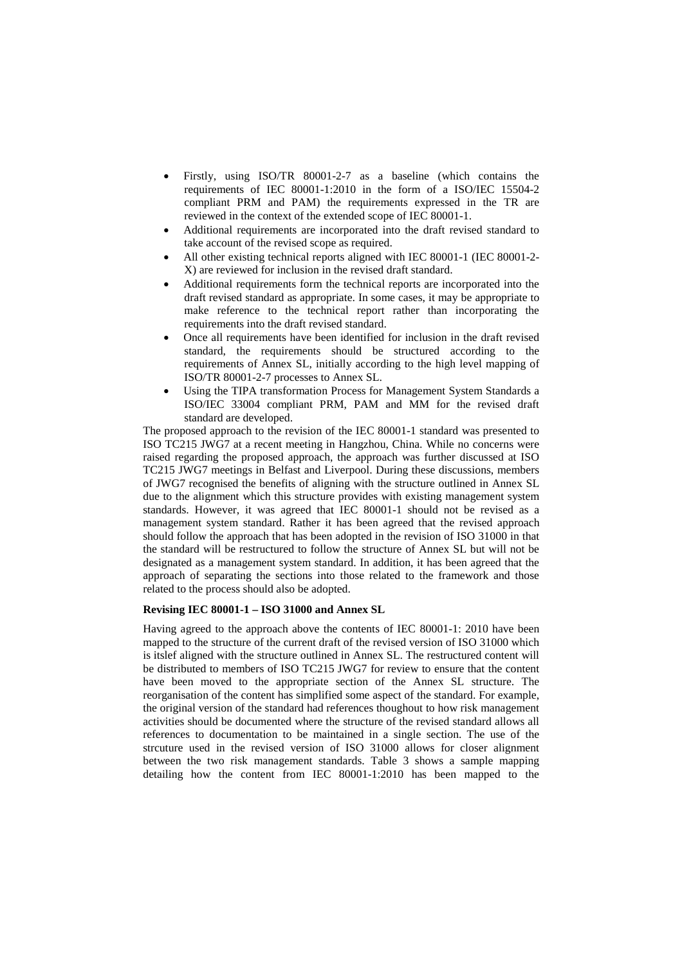- Firstly, using ISO/TR 80001-2-7 as a baseline (which contains the requirements of IEC 80001-1:2010 in the form of a ISO/IEC 15504-2 compliant PRM and PAM) the requirements expressed in the TR are reviewed in the context of the extended scope of IEC 80001-1.
- Additional requirements are incorporated into the draft revised standard to take account of the revised scope as required.
- All other existing technical reports aligned with IEC 80001-1 (IEC 80001-2- X) are reviewed for inclusion in the revised draft standard.
- Additional requirements form the technical reports are incorporated into the draft revised standard as appropriate. In some cases, it may be appropriate to make reference to the technical report rather than incorporating the requirements into the draft revised standard.
- Once all requirements have been identified for inclusion in the draft revised standard, the requirements should be structured according to the requirements of Annex SL, initially according to the high level mapping of ISO/TR 80001-2-7 processes to Annex SL.
- Using the TIPA transformation Process for Management System Standards a ISO/IEC 33004 compliant PRM, PAM and MM for the revised draft standard are developed.

The proposed approach to the revision of the IEC 80001-1 standard was presented to ISO TC215 JWG7 at a recent meeting in Hangzhou, China. While no concerns were raised regarding the proposed approach, the approach was further discussed at ISO TC215 JWG7 meetings in Belfast and Liverpool. During these discussions, members of JWG7 recognised the benefits of aligning with the structure outlined in Annex SL due to the alignment which this structure provides with existing management system standards. However, it was agreed that IEC 80001-1 should not be revised as a management system standard. Rather it has been agreed that the revised approach should follow the approach that has been adopted in the revision of ISO 31000 in that the standard will be restructured to follow the structure of Annex SL but will not be designated as a management system standard. In addition, it has been agreed that the approach of separating the sections into those related to the framework and those related to the process should also be adopted.

# **Revising IEC 80001-1 – ISO 31000 and Annex SL**

Having agreed to the approach above the contents of IEC 80001-1: 2010 have been mapped to the structure of the current draft of the revised version of ISO 31000 which is itslef aligned with the structure outlined in Annex SL. The restructured content will be distributed to members of ISO TC215 JWG7 for review to ensure that the content have been moved to the appropriate section of the Annex SL structure. The reorganisation of the content has simplified some aspect of the standard. For example, the original version of the standard had references thoughout to how risk management activities should be documented where the structure of the revised standard allows all references to documentation to be maintained in a single section. The use of the strcuture used in the revised version of ISO 31000 allows for closer alignment between the two risk management standards. Table 3 shows a sample mapping detailing how the content from IEC 80001-1:2010 has been mapped to the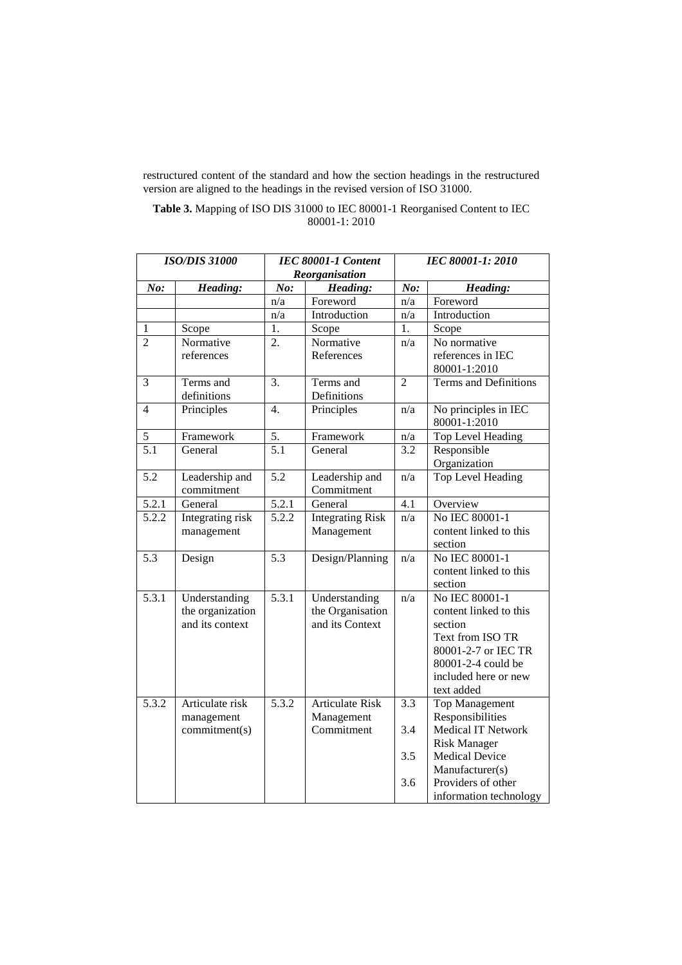restructured content of the standard and how the section headings in the restructured version are aligned to the headings in the revised version of ISO 31000.

| <b>ISO/DIS 31000</b> |                  | IEC 80001-1 Content |                         | IEC 80001-1: 2010 |                                              |
|----------------------|------------------|---------------------|-------------------------|-------------------|----------------------------------------------|
|                      |                  | Reorganisation      |                         |                   |                                              |
| No:                  | Heading:         | No:                 | Heading:                | No:               | <b>Heading:</b>                              |
|                      |                  | n/a                 | Foreword                | n/a               | Foreword                                     |
|                      |                  | n/a                 | Introduction            | n/a               | Introduction                                 |
| 1                    | Scope            | 1.                  | Scope                   | 1.                | Scope                                        |
| $\overline{2}$       | Normative        | $\overline{2}$ .    | Normative               | n/a               | No normative                                 |
|                      | references       |                     | References              |                   | references in IEC                            |
|                      |                  |                     |                         |                   | 80001-1:2010                                 |
| $\overline{3}$       | Terms and        | $\overline{3}$ .    | Terms and               | $\overline{2}$    | <b>Terms and Definitions</b>                 |
|                      | definitions      |                     | Definitions             |                   |                                              |
| $\overline{4}$       | Principles       | $\overline{4}$ .    | Principles              | n/a               | No principles in IEC<br>80001-1:2010         |
| 5                    | Framework        | 5.                  | Framework               | n/a               | Top Level Heading                            |
| $\overline{5.1}$     | General          | $\overline{5.1}$    | General                 | $\overline{3.2}$  | Responsible                                  |
|                      |                  |                     |                         |                   | Organization                                 |
| 5.2                  | Leadership and   | 5.2                 | Leadership and          | n/a               | Top Level Heading                            |
|                      | commitment       |                     | Commitment              |                   |                                              |
| $\overline{5.2.1}$   | General          | 5.2.1               | General                 | 4.1               | Overview                                     |
| 5.2.2                | Integrating risk | $\overline{5.2.2}$  | <b>Integrating Risk</b> | n/a               | No IEC 80001-1                               |
|                      | management       |                     | Management              |                   | content linked to this                       |
|                      |                  |                     |                         |                   | section                                      |
| 5.3                  | Design           | 5.3                 | Design/Planning         | n/a               | No IEC 80001-1                               |
|                      |                  |                     |                         |                   | content linked to this                       |
|                      |                  |                     |                         |                   | section                                      |
| 5.3.1                | Understanding    | 5.3.1               | Understanding           | n/a               | No IEC 80001-1                               |
|                      | the organization |                     | the Organisation        |                   | content linked to this                       |
|                      | and its context  |                     | and its Context         |                   | section                                      |
|                      |                  |                     |                         |                   | Text from ISO TR                             |
|                      |                  |                     |                         |                   | 80001-2-7 or IEC TR                          |
|                      |                  |                     |                         |                   | 80001-2-4 could be                           |
|                      |                  |                     |                         |                   | included here or new                         |
|                      |                  |                     |                         |                   | text added                                   |
| 5.3.2                | Articulate risk  | 5.3.2               | Articulate Risk         | $\overline{3.3}$  | Top Management                               |
|                      | management       |                     | Management              |                   | Responsibilities                             |
|                      | commitment(s)    |                     | Commitment              | 3.4               | <b>Medical IT Network</b>                    |
|                      |                  |                     |                         | 3.5               | <b>Risk Manager</b><br><b>Medical Device</b> |
|                      |                  |                     |                         |                   | Manufacturer(s)                              |
|                      |                  |                     |                         | 3.6               | Providers of other                           |
|                      |                  |                     |                         |                   | information technology                       |
|                      |                  |                     |                         |                   |                                              |

**Table 3.** Mapping of ISO DIS 31000 to IEC 80001-1 Reorganised Content to IEC 80001-1: 2010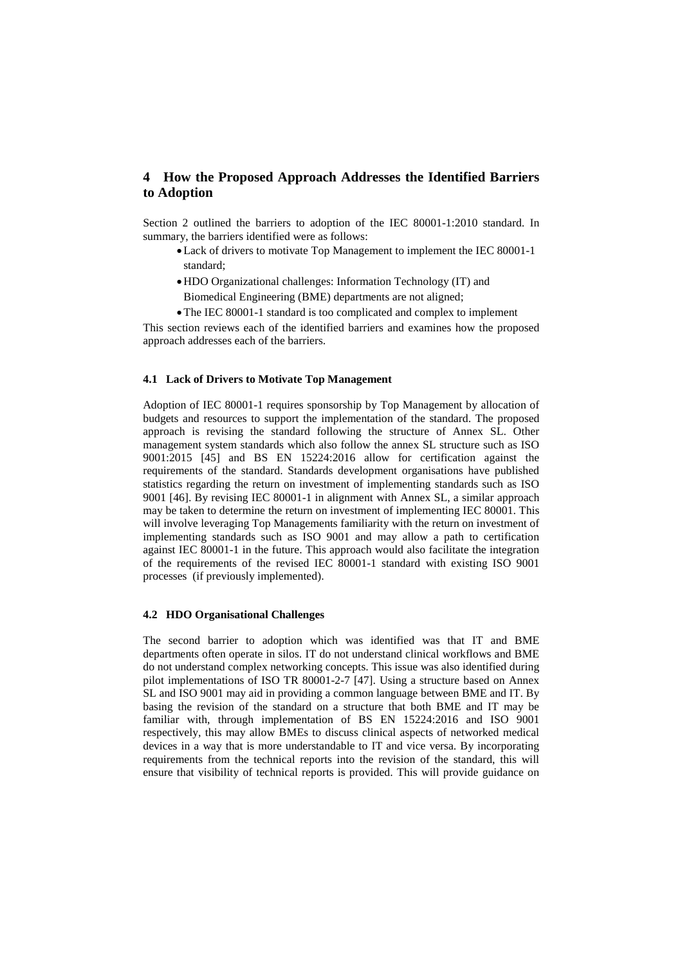# **4 How the Proposed Approach Addresses the Identified Barriers to Adoption**

Section 2 outlined the barriers to adoption of the IEC 80001-1:2010 standard. In summary, the barriers identified were as follows:

- Lack of drivers to motivate Top Management to implement the IEC 80001-1 standard;
- HDO Organizational challenges: Information Technology (IT) and Biomedical Engineering (BME) departments are not aligned;
- The IEC 80001-1 standard is too complicated and complex to implement

This section reviews each of the identified barriers and examines how the proposed approach addresses each of the barriers.

### **4.1 Lack of Drivers to Motivate Top Management**

Adoption of IEC 80001-1 requires sponsorship by Top Management by allocation of budgets and resources to support the implementation of the standard. The proposed approach is revising the standard following the structure of Annex SL. Other management system standards which also follow the annex SL structure such as ISO 9001:2015 [45] and BS EN 15224:2016 allow for certification against the requirements of the standard. Standards development organisations have published statistics regarding the return on investment of implementing standards such as ISO 9001 [46]. By revising IEC 80001-1 in alignment with Annex SL, a similar approach may be taken to determine the return on investment of implementing IEC 80001. This will involve leveraging Top Managements familiarity with the return on investment of implementing standards such as ISO 9001 and may allow a path to certification against IEC 80001-1 in the future. This approach would also facilitate the integration of the requirements of the revised IEC 80001-1 standard with existing ISO 9001 processes (if previously implemented).

### **4.2 HDO Organisational Challenges**

The second barrier to adoption which was identified was that IT and BME departments often operate in silos. IT do not understand clinical workflows and BME do not understand complex networking concepts. This issue was also identified during pilot implementations of ISO TR 80001-2-7 [47]. Using a structure based on Annex SL and ISO 9001 may aid in providing a common language between BME and IT. By basing the revision of the standard on a structure that both BME and IT may be familiar with, through implementation of BS EN 15224:2016 and ISO 9001 respectively, this may allow BMEs to discuss clinical aspects of networked medical devices in a way that is more understandable to IT and vice versa. By incorporating requirements from the technical reports into the revision of the standard, this will ensure that visibility of technical reports is provided. This will provide guidance on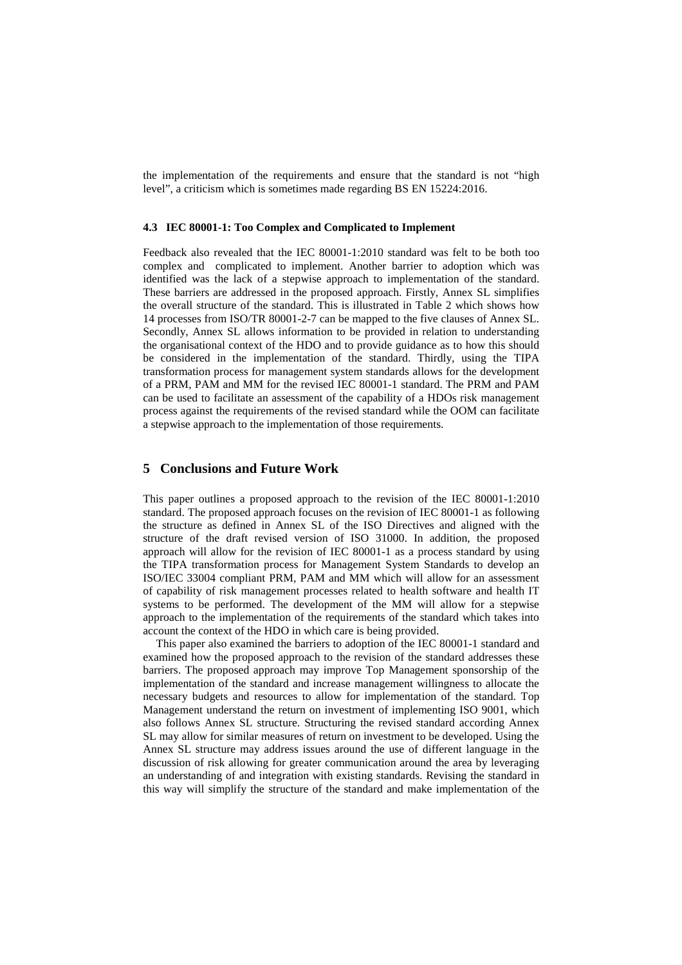the implementation of the requirements and ensure that the standard is not "high level", a criticism which is sometimes made regarding BS EN 15224:2016.

#### **4.3 IEC 80001-1: Too Complex and Complicated to Implement**

Feedback also revealed that the IEC 80001-1:2010 standard was felt to be both too complex and complicated to implement. Another barrier to adoption which was identified was the lack of a stepwise approach to implementation of the standard. These barriers are addressed in the proposed approach. Firstly, Annex SL simplifies the overall structure of the standard. This is illustrated in Table 2 which shows how 14 processes from ISO/TR 80001-2-7 can be mapped to the five clauses of Annex SL. Secondly, Annex SL allows information to be provided in relation to understanding the organisational context of the HDO and to provide guidance as to how this should be considered in the implementation of the standard. Thirdly, using the TIPA transformation process for management system standards allows for the development of a PRM, PAM and MM for the revised IEC 80001-1 standard. The PRM and PAM can be used to facilitate an assessment of the capability of a HDOs risk management process against the requirements of the revised standard while the OOM can facilitate a stepwise approach to the implementation of those requirements.

# **5 Conclusions and Future Work**

This paper outlines a proposed approach to the revision of the IEC 80001-1:2010 standard. The proposed approach focuses on the revision of IEC 80001-1 as following the structure as defined in Annex SL of the ISO Directives and aligned with the structure of the draft revised version of ISO 31000. In addition, the proposed approach will allow for the revision of IEC 80001-1 as a process standard by using the TIPA transformation process for Management System Standards to develop an ISO/IEC 33004 compliant PRM, PAM and MM which will allow for an assessment of capability of risk management processes related to health software and health IT systems to be performed. The development of the MM will allow for a stepwise approach to the implementation of the requirements of the standard which takes into account the context of the HDO in which care is being provided.

This paper also examined the barriers to adoption of the IEC 80001-1 standard and examined how the proposed approach to the revision of the standard addresses these barriers. The proposed approach may improve Top Management sponsorship of the implementation of the standard and increase management willingness to allocate the necessary budgets and resources to allow for implementation of the standard. Top Management understand the return on investment of implementing ISO 9001, which also follows Annex SL structure. Structuring the revised standard according Annex SL may allow for similar measures of return on investment to be developed. Using the Annex SL structure may address issues around the use of different language in the discussion of risk allowing for greater communication around the area by leveraging an understanding of and integration with existing standards. Revising the standard in this way will simplify the structure of the standard and make implementation of the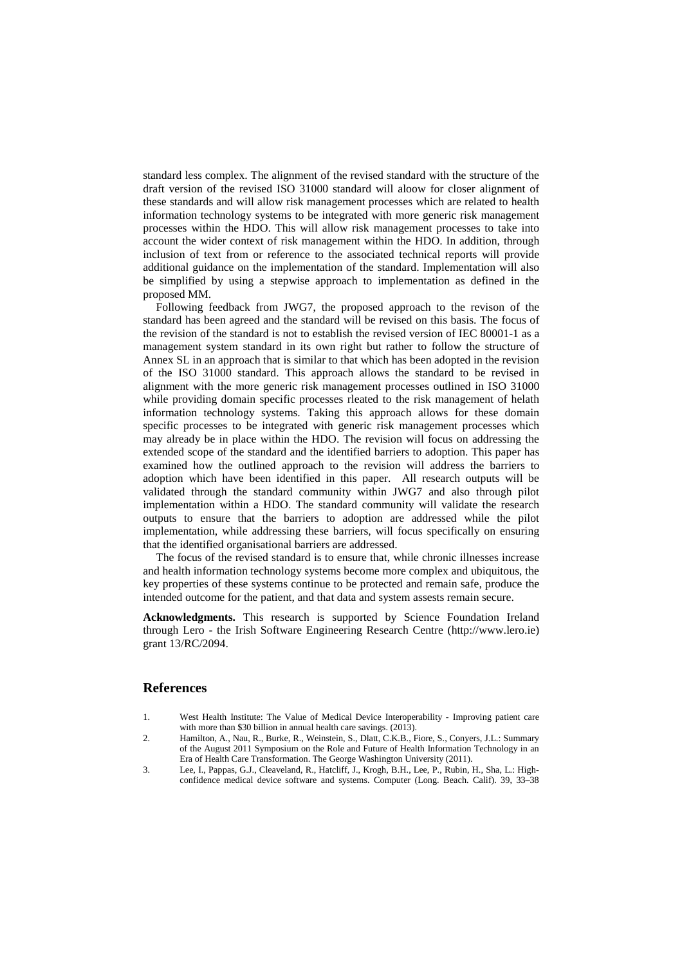standard less complex. The alignment of the revised standard with the structure of the draft version of the revised ISO 31000 standard will aloow for closer alignment of these standards and will allow risk management processes which are related to health information technology systems to be integrated with more generic risk management processes within the HDO. This will allow risk management processes to take into account the wider context of risk management within the HDO. In addition, through inclusion of text from or reference to the associated technical reports will provide additional guidance on the implementation of the standard. Implementation will also be simplified by using a stepwise approach to implementation as defined in the proposed MM.

Following feedback from JWG7, the proposed approach to the revison of the standard has been agreed and the standard will be revised on this basis. The focus of the revision of the standard is not to establish the revised version of IEC 80001-1 as a management system standard in its own right but rather to follow the structure of Annex SL in an approach that is similar to that which has been adopted in the revision of the ISO 31000 standard. This approach allows the standard to be revised in alignment with the more generic risk management processes outlined in ISO 31000 while providing domain specific processes rleated to the risk management of helath information technology systems. Taking this approach allows for these domain specific processes to be integrated with generic risk management processes which may already be in place within the HDO. The revision will focus on addressing the extended scope of the standard and the identified barriers to adoption. This paper has examined how the outlined approach to the revision will address the barriers to adoption which have been identified in this paper. All research outputs will be validated through the standard community within JWG7 and also through pilot implementation within a HDO. The standard community will validate the research outputs to ensure that the barriers to adoption are addressed while the pilot implementation, while addressing these barriers, will focus specifically on ensuring that the identified organisational barriers are addressed.

The focus of the revised standard is to ensure that, while chronic illnesses increase and health information technology systems become more complex and ubiquitous, the key properties of these systems continue to be protected and remain safe, produce the intended outcome for the patient, and that data and system assests remain secure.

**Acknowledgments.** This research is supported by Science Foundation Ireland through Lero - the Irish Software Engineering Research Centre (http://www.lero.ie) grant 13/RC/2094.

#### **References**

- 1. West Health Institute: The Value of Medical Device Interoperability Improving patient care with more than \$30 billion in annual health care savings. (2013).
- 2. Hamilton, A., Nau, R., Burke, R., Weinstein, S., Dlatt, C.K.B., Fiore, S., Conyers, J.L.: Summary of the August 2011 Symposium on the Role and Future of Health Information Technology in an Era of Health Care Transformation. The George Washington University (2011).
- 3. Lee, I., Pappas, G.J., Cleaveland, R., Hatcliff, J., Krogh, B.H., Lee, P., Rubin, H., Sha, L.: Highconfidence medical device software and systems. Computer (Long. Beach. Calif). 39, 33–38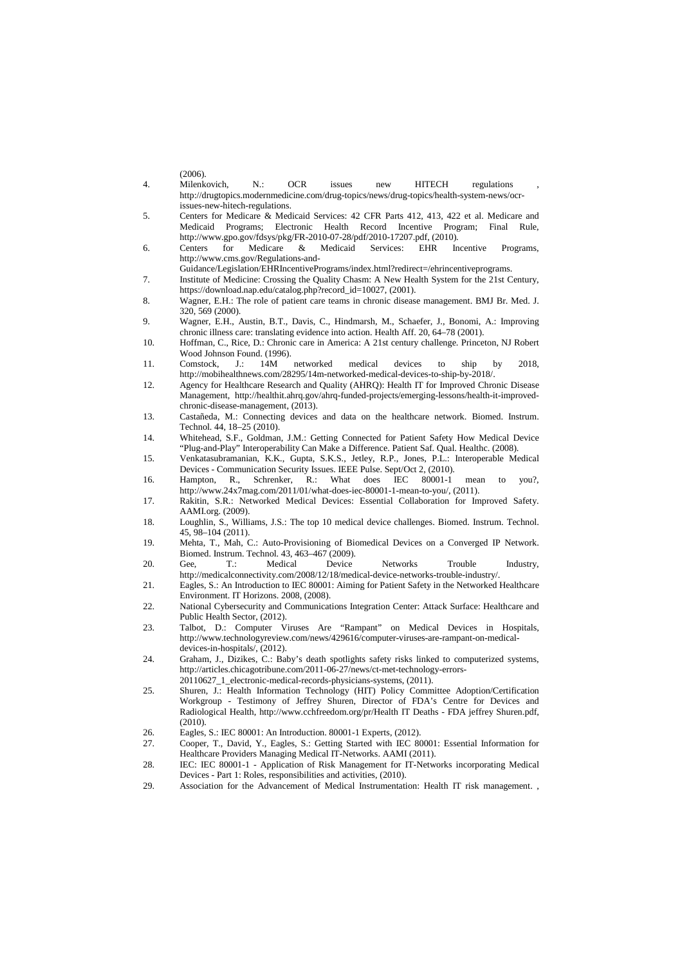(2006).<br>Milenkovich. 4. Milenkovich, N.: OCR issues new HITECH regulations , http://drugtopics.modernmedicine.com/drug-topics/news/drug-topics/health-system-news/ocrissues-new-hitech-regulations.

- 5. Centers for Medicare & Medicaid Services: 42 CFR Parts 412, 413, 422 et al. Medicare and Medicaid Programs; Electronic Health Record Incentive Program; Final Rule, http://www.gpo.gov/fdsys/pkg/FR-2010-07-28/pdf/2010-17207.pdf, (2010).
- 6. Centers for Medicare & Medicaid Services: EHR Incentive Programs, http://www.cms.gov/Regulations-and-
	- Guidance/Legislation/EHRIncentivePrograms/index.html?redirect=/ehrincentiveprograms.
- 7. Institute of Medicine: Crossing the Quality Chasm: A New Health System for the 21st Century, https://download.nap.edu/catalog.php?record\_id=10027, (2001).
- 8. Wagner, E.H.: The role of patient care teams in chronic disease management. BMJ Br. Med. J. 320, 569 (2000).
- 9. Wagner, E.H., Austin, B.T., Davis, C., Hindmarsh, M., Schaefer, J., Bonomi, A.: Improving chronic illness care: translating evidence into action. Health Aff. 20, 64–78 (2001).
- 10. Hoffman, C., Rice, D.: Chronic care in America: A 21st century challenge. Princeton, NJ Robert Wood Johnson Found. (1996).
- 11. Comstock, J.: 14M networked medical devices to ship by 2018, http://mobihealthnews.com/28295/14m-networked-medical-devices-to-ship-by-2018/.
- 12. Agency for Healthcare Research and Quality (AHRQ): Health IT for Improved Chronic Disease Management, http://healthit.ahrq.gov/ahrq-funded-projects/emerging-lessons/health-it-improvedchronic-disease-management, (2013).
- 13. Castañeda, M.: Connecting devices and data on the healthcare network. Biomed. Instrum. Technol. 44, 18–25 (2010).
- 14. Whitehead, S.F., Goldman, J.M.: Getting Connected for Patient Safety How Medical Device "Plug-and-Play" Interoperability Can Make a Difference. Patient Saf. Qual. Healthc. (2008).
- 15. Venkatasubramanian, K.K., Gupta, S.K.S., Jetley, R.P., Jones, P.L.: Interoperable Medical Devices - Communication Security Issues. IEEE Pulse. Sept/Oct 2, (2010).
- 16. Hampton, R., Schrenker, R.: What does IEC 80001-1 mean to you?, http://www.24x7mag.com/2011/01/what-does-iec-80001-1-mean-to-you/, (2011).
- 17. Rakitin, S.R.: Networked Medical Devices: Essential Collaboration for Improved Safety. AAMI.org. (2009).
- 18. Loughlin, S., Williams, J.S.: The top 10 medical device challenges. Biomed. Instrum. Technol. 45, 98–104 (2011).
- 19. Mehta, T., Mah, C.: Auto-Provisioning of Biomedical Devices on a Converged IP Network. Biomed. Instrum. Technol. 43, 463–467 (2009).
- 20. Gee, T.: Medical Device Networks Trouble Industry, http://medicalconnectivity.com/2008/12/18/medical-device-networks-trouble-industry/.
- 21. Eagles, S.: An Introduction to IEC 80001: Aiming for Patient Safety in the Networked Healthcare Environment. IT Horizons. 2008, (2008).
- 22. National Cybersecurity and Communications Integration Center: Attack Surface: Healthcare and Public Health Sector, (2012).
- 23. Talbot, D.: Computer Viruses Are "Rampant" on Medical Devices in Hospitals, http://www.technologyreview.com/news/429616/computer-viruses-are-rampant-on-medicaldevices-in-hospitals/<sub>(2012)</sub>.
- 24. Graham, J., Dizikes, C.: Baby's death spotlights safety risks linked to computerized systems, http://articles.chicagotribune.com/2011-06-27/news/ct-met-technology-errors-20110627\_1\_electronic-medical-records-physicians-systems, (2011).
- 25. Shuren, J.: Health Information Technology (HIT) Policy Committee Adoption/Certification Workgroup - Testimony of Jeffrey Shuren, Director of FDA's Centre for Devices and Radiological Health, http://www.cchfreedom.org/pr/Health IT Deaths - FDA jeffrey Shuren.pdf, (2010).
- 26. Eagles, S.: IEC 80001: An Introduction. 80001-1 Experts, (2012).
- 27. Cooper, T., David, Y., Eagles, S.: Getting Started with IEC 80001: Essential Information for Healthcare Providers Managing Medical IT-Networks. AAMI (2011).
- 28. IEC: IEC 80001-1 Application of Risk Management for IT-Networks incorporating Medical Devices - Part 1: Roles, responsibilities and activities, (2010).
- 29. Association for the Advancement of Medical Instrumentation: Health IT risk management. ,